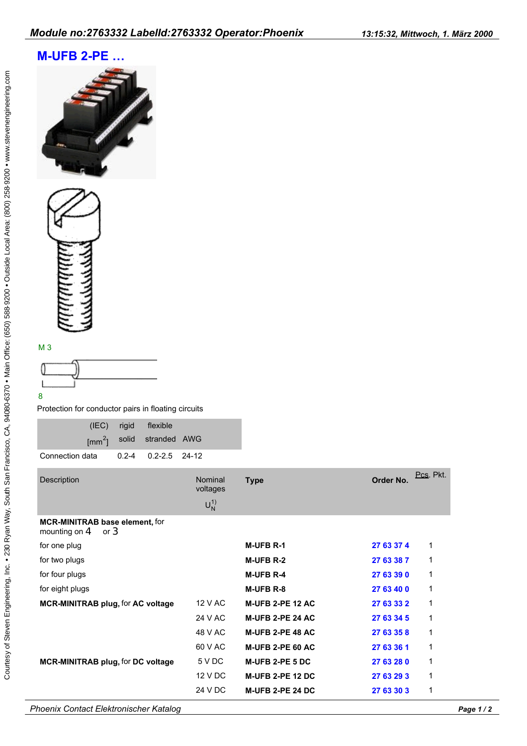## **M-UFB 2-PE …**





## M 3



Protection for conductor pairs in floating circuits

|  | (IEC) rigid flexible                  |  |
|--|---------------------------------------|--|
|  | [mm <sup>2</sup> ] solid stranded AWG |  |
|  |                                       |  |

| <b>Description</b>                                       | Nominal<br>voltages<br>$U_N^{(1)}$ | <b>Type</b>             | Order No.  | Pcs. Pkt. |
|----------------------------------------------------------|------------------------------------|-------------------------|------------|-----------|
| MCR-MINITRAB base element, for<br>mounting on $4$ or $3$ |                                    |                         |            |           |
| for one plug                                             |                                    | <b>M-UFB R-1</b>        | 27 63 37 4 | 1         |
| for two plugs                                            |                                    | <b>M-UFB R-2</b>        | 27 63 38 7 | 1         |
| for four plugs                                           |                                    | <b>M-UFB R-4</b>        | 27 63 39 0 | 1         |
| for eight plugs                                          |                                    | M-UFB R-8               | 27 63 40 0 | 1         |
| <b>MCR-MINITRAB plug, for AC voltage</b>                 | 12 V AC                            | <b>M-UFB 2-PE 12 AC</b> | 27 63 33 2 | 1         |
|                                                          | 24 V AC                            | <b>M-UFB 2-PE 24 AC</b> | 27 63 34 5 | 1         |
|                                                          | 48 V AC                            | <b>M-UFB 2-PE 48 AC</b> | 27 63 35 8 | 1         |
|                                                          | 60 V AC                            | <b>M-UFB 2-PE 60 AC</b> | 27 63 36 1 | 1         |
| <b>MCR-MINITRAB plug, for DC voltage</b>                 | 5 V DC                             | <b>M-UFB 2-PE 5 DC</b>  | 27 63 28 0 | 1         |
|                                                          | 12 V DC                            | <b>M-UFB 2-PE 12 DC</b> | 27 63 29 3 | 1         |
|                                                          | 24 V DC                            | <b>M-UFB 2-PE 24 DC</b> | 27 63 30 3 | 1         |